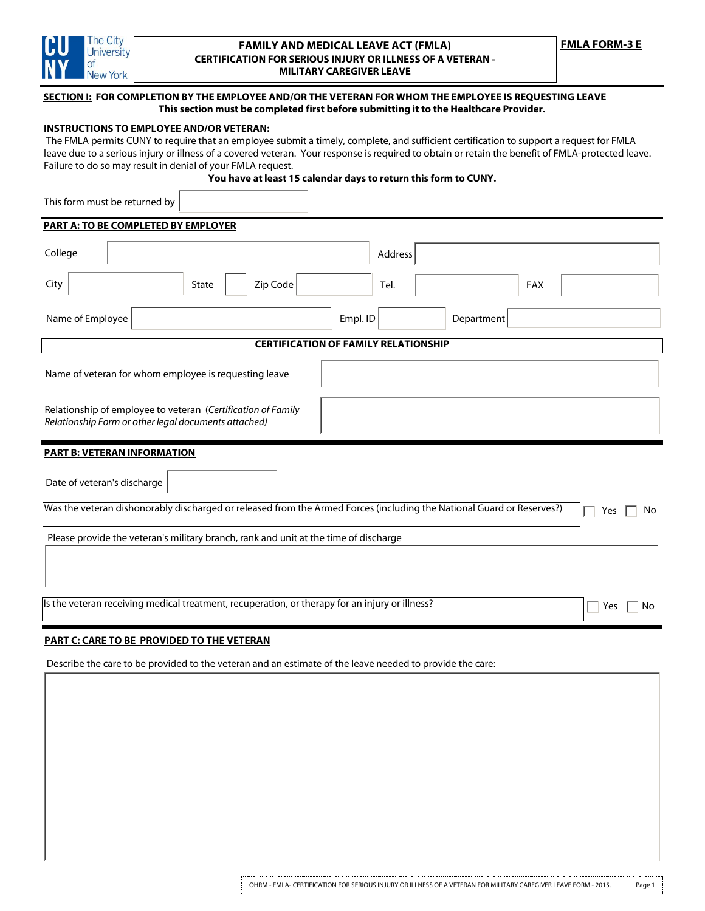

## **FAMILY AND MEDICAL LEAVE ACT (FMLA) CERTIFICATION FOR SERIOUS INJURY OR ILLNESS OF A VETERAN - MILITARY CAREGIVER LEAVE**

# **SECTION I: FOR COMPLETION BY THE EMPLOYEE AND/OR THE VETERAN FOR WHOM THE EMPLOYEE IS REQUESTING LEAVE This section must be completed first before submitting it to the Healthcare Provider.**

# **INSTRUCTIONS TO EMPLOYEE AND/OR VETERAN:**

 The FMLA permits CUNY to require that an employee submit a timely, complete, and sufficient certification to support a request for FMLA leave due to a serious injury or illness of a covered veteran. Your response is required to obtain or retain the benefit of FMLA-protected leave. Failure to do so may result in denial of your FMLA request.

**You have at least 15 calendar days to return this form to CUNY.**

This form must be returned by

| <b>PART A: TO BE COMPLETED BY EMPLOYER</b>                                                                                         |  |  |  |  |  |
|------------------------------------------------------------------------------------------------------------------------------------|--|--|--|--|--|
| College<br>Address                                                                                                                 |  |  |  |  |  |
| City<br>Zip Code<br>State<br>Tel.<br><b>FAX</b>                                                                                    |  |  |  |  |  |
| Department<br>Name of Employee<br>Empl. ID                                                                                         |  |  |  |  |  |
| <b>CERTIFICATION OF FAMILY RELATIONSHIP</b>                                                                                        |  |  |  |  |  |
| Name of veteran for whom employee is requesting leave                                                                              |  |  |  |  |  |
| Relationship of employee to veteran (Certification of Family<br>Relationship Form or other legal documents attached)               |  |  |  |  |  |
| <b>PART B: VETERAN INFORMATION</b>                                                                                                 |  |  |  |  |  |
| Date of veteran's discharge                                                                                                        |  |  |  |  |  |
| Was the veteran dishonorably discharged or released from the Armed Forces (including the National Guard or Reserves?)<br>No<br>Yes |  |  |  |  |  |
| Please provide the veteran's military branch, rank and unit at the time of discharge                                               |  |  |  |  |  |
| Is the veteran receiving medical treatment, recuperation, or therapy for an injury or illness?<br>Yes<br>No                        |  |  |  |  |  |

# **PART C: CARE TO BE PROVIDED TO THE VETERAN**

Describe the care to be provided to the veteran and an estimate of the leave needed to provide the care: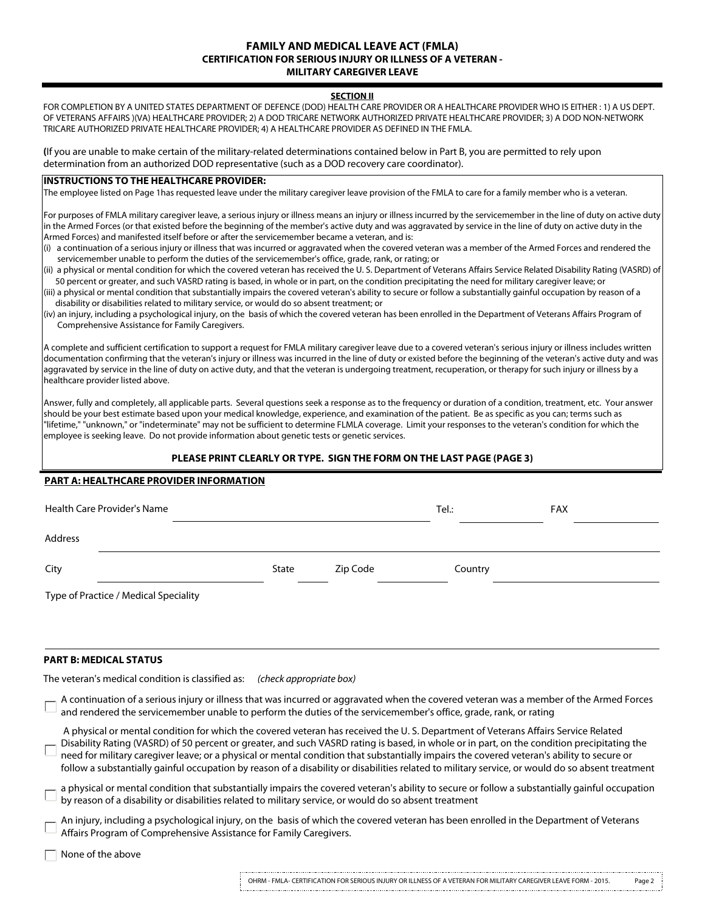## **FAMILY AND MEDICAL LEAVE ACT (FMLA) CERTIFICATION FOR SERIOUS INJURY OR ILLNESS OF A VETERAN - MILITARY CAREGIVER LEAVE**

### **SECTION II**

FOR COMPLETION BY A UNITED STATES DEPARTMENT OF DEFENCE (DOD) HEALTH CARE PROVIDER OR A HEALTHCARE PROVIDER WHO IS EITHER : 1) A US DEPT. OF VETERANS AFFAIRS )(VA) HEALTHCARE PROVIDER; 2) A DOD TRICARE NETWORK AUTHORIZED PRIVATE HEALTHCARE PROVIDER; 3) A DOD NON-NETWORK TRICARE AUTHORIZED PRIVATE HEALTHCARE PROVIDER; 4) A HEALTHCARE PROVIDER AS DEFINED IN THE FMLA.

**(**If you are unable to make certain of the military-related determinations contained below in Part B, you are permitted to rely upon determination from an authorized DOD representative (such as a DOD recovery care coordinator).

# **INSTRUCTIONS TO THE HEALTHCARE PROVIDER:**

The employee listed on Page 1has requested leave under the military caregiver leave provision of the FMLA to care for a family member who is a veteran.

For purposes of FMLA military caregiver leave, a serious injury or illness means an injury or illness incurred by the servicemember in the line of duty on active duty  $\vert$ in the Armed Forces (or that existed before the beginning of the member's active duty and was aggravated by service in the line of duty on active duty in the Armed Forces) and manifested itself before or after the servicemember became a veteran, and is:

(i) a continuation of a serious injury or illness that was incurred or aggravated when the covered veteran was a member of the Armed Forces and rendered the servicemember unable to perform the duties of the servicemember's office, grade, rank, or rating; or

- (ii) a physical or mental condition for which the covered veteran has received the U. S. Department of Veterans Affairs Service Related Disability Rating (VASRD) of 50 percent or greater, and such VASRD rating is based, in whole or in part, on the condition precipitating the need for military caregiver leave; or
- (iii) a physical or mental condition that substantially impairs the covered veteran's ability to secure or follow a substantially gainful occupation by reason of a disability or disabilities related to military service, or would do so absent treatment; or
- $(iv)$  an injury, including a psychological injury, on the basis of which the covered veteran has been enrolled in the Department of Veterans Affairs Program of Comprehensive Assistance for Family Caregivers.

A complete and sufficient certification to support a request for FMLA military caregiver leave due to a covered veteran's serious injury or illness includes written documentation confirming that the veteran's injury or illness was incurred in the line of duty or existed before the beginning of the veteran's active duty and was aggravated by service in the line of duty on active duty, and that the veteran is undergoing treatment, recuperation, or therapy for such injury or illness by a healthcare provider listed above.

Answer, fully and completely, all applicable parts. Several questions seek a response as to the frequency or duration of a condition, treatment, etc. Your answer should be your best estimate based upon your medical knowledge, experience, and examination of the patient. Be as specific as you can; terms such as "lifetime," "unknown," or "indeterminate" may not be sufficient to determine FLMLA coverage. Limit your responses to the veteran's condition for which the employee is seeking leave. Do not provide information about genetic tests or genetic services.

### **PLEASE PRINT CLEARLY OR TYPE. SIGN THE FORM ON THE LAST PAGE (PAGE 3)**

### **PART A: HEALTHCARE PROVIDER INFORMATION**

| Health Care Provider's Name           |       |          | Tel.: | <b>FAX</b> |  |
|---------------------------------------|-------|----------|-------|------------|--|
| Address                               |       |          |       |            |  |
| City                                  | State | Zip Code |       | Country    |  |
| Type of Practice / Medical Speciality |       |          |       |            |  |

## **PART B: MEDICAL STATUS**

The veteran's medical condition is classified as: *(check appropriate box)*

| A continuation of a serious injury or illness that was incurred or aggravated when the covered veteran was a member of the Armed Forces and rendered the servicemember unable to perform the duties of the servicemember's of                                                                                                                                                                                                                                                                                                                                                      |
|------------------------------------------------------------------------------------------------------------------------------------------------------------------------------------------------------------------------------------------------------------------------------------------------------------------------------------------------------------------------------------------------------------------------------------------------------------------------------------------------------------------------------------------------------------------------------------|
| A physical or mental condition for which the covered veteran has received the U.S. Department of Veterans Affairs Service Related<br>Disability Rating (VASRD) of 50 percent or greater, and such VASRD rating is based, in whole or in part, on the condition precipitating the<br>need for military caregiver leave; or a physical or mental condition that substantially impairs the covered veteran's ability to secure or<br>follow a substantially gainful occupation by reason of a disability or disabilities related to military service, or would do so absent treatment |
| a physical or mental condition that substantially impairs the covered veteran's ability to secure or follow a substantially gainful occupation<br>by reason of a disability or disabilities related to military service, or woul                                                                                                                                                                                                                                                                                                                                                   |
| An injury, including a psychological injury, on the basis of which the covered veteran has been enrolled in the Department of Veterans Affairs Program of Comprehensive Assistance for Family Caregivers.                                                                                                                                                                                                                                                                                                                                                                          |
| $\Box$ None of the above                                                                                                                                                                                                                                                                                                                                                                                                                                                                                                                                                           |